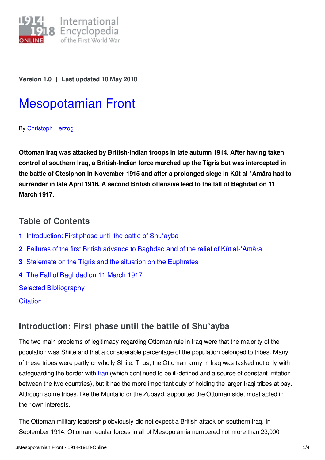

**Version 1.0** | **Last updated 18 May 2018**

# [Mesopotamian](https://encyclopedia.1914-1918-online.net/article/mesopotamian_front) Front

By [Christoph](https://encyclopedia.1914-1918-online.net/contributors/Christoph_Herzog) Herzog

**Ottoman Iraq was attacked by British-Indian troops in late autumn 1914. After having taken control of southern Iraq, a British-Indian force marched up the Tigris but was intercepted in** the battle of Ctesiphon in November 1915 and after a prolonged siege in Kūt al-'Amāra had to **surrender in late April 1916. A second British offensive lead to the fall of Baghdad on 11 March 1917.**

### **Table of Contents**

- **1** [Introduction:](#page-0-0) First phase until the battle of Shuʿayba
- **2** Failures of the first British advance to [Baghdad](#page-1-0) and of the relief of Kūt al-ʿAmāra
- **3** [Stalemate](#page-1-1) on the Tigris and the situation on the Euphrates
- **4** The Fall of [Baghdad](#page-2-0) on 11 March 1917

Selected [Bibliography](#page-3-0)

**[Citation](#page-3-1)** 

# <span id="page-0-0"></span>**Introduction: First phase until the battle of Shuʿayba**

The two main problems of legitimacy regarding Ottoman rule in Iraq were that the majority of the population was Shiite and that a considerable percentage of the population belonged to tribes. Many of these tribes were partly or wholly Shiite. Thus, the Ottoman army in Iraq was tasked not only with safeguarding the border with *[Iran](https://encyclopedia.1914-1918-online.net/article/persiairan)* (which continued to be ill-defined and a source of constant irritation between the two countries), but it had the more important duty of holding the larger Iraqi tribes at bay. Although some tribes, like the Muntafiq or the Zubayd, supported the Ottoman side, most acted in their own interests.

The Ottoman military leadership obviously did not expect a British attack on southern Iraq. In September 1914, Ottoman regular forces in all of Mesopotamia numbered not more than 23,000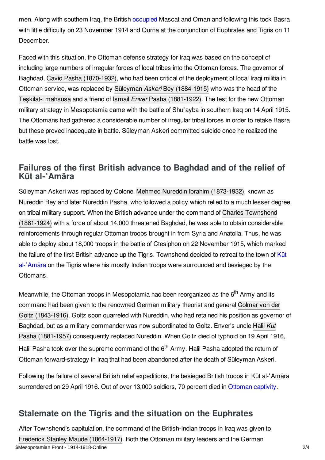men. Along with southern Iraq, the British [occupied](https://encyclopedia.1914-1918-online.net/article/occupation_during_and_after_the_war_middle_east) Mascat and Oman and following this took Basra with little difficulty on 23 November 1914 and Qurna at the conjunction of Euphrates and Tigris on 11 December.

Faced with this situation, the Ottoman defense strategy for Iraq was based on the concept of including large numbers of irregular forces of local tribes into the Ottoman forces. The governor of Baghdad, Cavid Pasha [\(1870-1932\)](https://encyclopedia.1914-1918-online.net/index/names/1113891483), who had been critical of the deployment of local Iraqi militia in Ottoman service, was replaced by Süleyman *Askeri* Bey [\(1884-1915\)](https://encyclopedia.1914-1918-online.net/index/names/1047826623) who was the head of the Teşkilat-i [mahsusa](https://encyclopedia.1914-1918-online.net/article/teskilat-i_mahsusa_ottoman_empire) and a friend of Ismail *Enver* Pasha [\(1881-1922\)](https://encyclopedia.1914-1918-online.net/index/names/118935577). The test for the new Ottoman military strategy in Mesopotamia came with the battle of Shu'ayba in southern Iraq on 14 April 1915. The Ottomans had gathered a considerable number of irregular tribal forces in order to retake Basra but these proved inadequate in battle. Süleyman Askeri committed suicide once he realized the battle was lost.

## <span id="page-1-0"></span>**Failures of the first British advance to Baghdad and of the relief of Kūt al-ʿAmāra**

Süleyman Askeri was replaced by Colonel Mehmed Nureddin Ibrahim [\(1873-1932\)](https://encyclopedia.1914-1918-online.net/index/names/128614218), known as Nureddin Bey and later Nureddin Pasha, who followed a policy which relied to a much lesser degree on tribal military support. When the British advance under the command of Charles Townshend [\(1861-1924\)](https://encyclopedia.1914-1918-online.net/index/names/142540668) with a force of about 14,000 threatened Baghdad, he was able to obtain considerable reinforcements through regular Ottoman troops brought in from Syria and Anatolia. Thus, he was able to deploy about 18,000 troops in the battle of Ctesiphon on 22 November 1915, which marked the failure of the first British advance up the Tigris. [Townshend](https://encyclopedia.1914-1918-online.net/article/kut_al-amara) decided to retreat to the town of Kut al-'Amāra on the Tigris where his mostly Indian troops were surrounded and besieged by the Ottomans.

Meanwhile, the Ottoman troops in Mesopotamia had been reorganized as the 6<sup>th</sup> Army and its command had been given to the renowned German military theorist and general Colmar von der Goltz [\(1843-1916\).](https://encyclopedia.1914-1918-online.net/index/names/118696319) Goltz soon quarreled with Nureddin, who had retained his position as governor of Baghdad, but as a military commander was now subordinated to Goltz. Enver's uncle Halil *Kut* Pasha (1881-1957) [consequently](https://encyclopedia.1914-1918-online.net/index/names/1047848120) replaced Nureddin. When Goltz died of typhoid on 19 April 1916, Halil Pasha took over the supreme command of the 6<sup>th</sup> Army. Halil Pasha adopted the return of Ottoman forward-strategy in Iraq that had been abandoned after the death of Süleyman Askeri.

Following the failure of several British relief expeditions, the besieged British troops in Kūt al-ʿAmāra surrendered on 29 April 1916. Out of over 13,000 soldiers, 70 percent died in [Ottoman](https://encyclopedia.1914-1918-online.net/article/prisoners_of_war_ottoman_empiremiddle_east) captivity.

# <span id="page-1-1"></span>**Stalemate on the Tigris and the situation on the Euphrates**

After Townshend's capitulation, the command of the British-Indian troops in Iraq was given to Frederick Stanley Maude [\(1864-1917\)](https://encyclopedia.1914-1918-online.net/index/names/1058494724). Both the Ottoman military leaders and the German \$Mesopotamian Front - 1914-1918-Online 2/4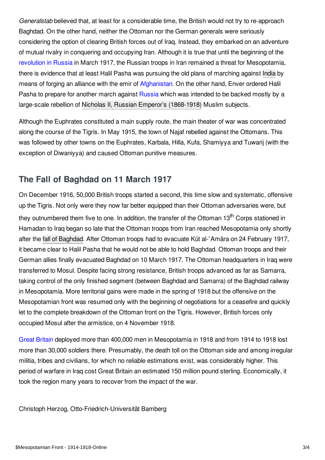*Generalstab* believed that, at least for a considerable time, the British would not try to re-approach Baghdad. On the other hand, neither the Ottoman nor the German generals were seriously considering the option of clearing British forces out of Iraq. Instead, they embarked on an adventure of mutual rivalry in conquering and occupying Iran. Although it is true that until the beginning of the [revolution](https://encyclopedia.1914-1918-online.net/article/revolutions_russian_empire) in Russia in March 1917, the Russian troops in Iran remained a threat for Mesopotamia, there is evidence that at least Halil Pasha was pursuing the old plans of marching against [India](https://encyclopedia.1914-1918-online.net/article/british_india) by means of forging an alliance with the emir of [Afghanistan](https://encyclopedia.1914-1918-online.net/article/afghanistan). On the other hand, Enver ordered Halil Pasha to prepare for another march against [Russia](https://encyclopedia.1914-1918-online.net/article/russian_empire) which was intended to be backed mostly by a large-scale rebellion of Nicholas II, Russian Emperor's [\(1868-1918\)](https://encyclopedia.1914-1918-online.net/index/names/11873492X) Muslim subjects.

Although the Euphrates constituted a main supply route, the main theater of war was concentrated along the course of the Tigris. In May 1915, the town of Najaf rebelled against the Ottomans. This was followed by other towns on the Euphrates, Karbala, Hilla, Kufa, Shamiyya and Tuwarij (with the exception of Diwaniyya) and caused Ottoman punitive measures.

## <span id="page-2-0"></span>**The Fall of Baghdad on 11 March 1917**

On December 1916, 50,000 British troops started a second, this time slow and systematic, offensive up the Tigris. Not only were they now far better equipped than their Ottoman adversaries were, but they outnumbered them five to one. In addition, the transfer of the Ottoman 13<sup>th</sup> Corps stationed in Hamadan to Iraq began so late that the Ottoman troops from Iran reached Mesopotamia only shortly after the fall of [Baghdad](https://encyclopedia.1914-1918-online.net/article/fall_of_baghdad). After Ottoman troops had to evacuate Kūt al-ʿAmāra on 24 February 1917, it became clear to Halil Pasha that he would not be able to hold Baghdad. Ottoman troops and their German allies finally evacuated Baghdad on 10 March 1917. The Ottoman headquarters in Iraq were transferred to Mosul. Despite facing strong resistance, British troops advanced as far as Samarra, taking control of the only finished segment (between Baghdad and Samarra) of the Baghdad railway in Mesopotamia. More territorial gains were made in the spring of 1918 but the offensive on the Mesopotamian front was resumed only with the beginning of negotiations for a ceasefire and quickly let to the complete breakdown of the Ottoman front on the Tigris. However, British forces only occupied Mosul after the armistice, on 4 November 1918.

Great [Britain](https://encyclopedia.1914-1918-online.net/article/great_britain) deployed more than 400,000 men in Mesopotamia in 1918 and from 1914 to 1918 lost more than 30,000 soldiers there. Presumably, the death toll on the Ottoman side and among irregular militia, tribes and civilians, for which no reliable estimations exist, was considerably higher. This period of warfare in Iraq cost Great Britain an estimated 150 million pound sterling. Economically, it took the region many years to recover from the impact of the war.

Christoph Herzog, Otto-Friedrich-Universität Bamberg